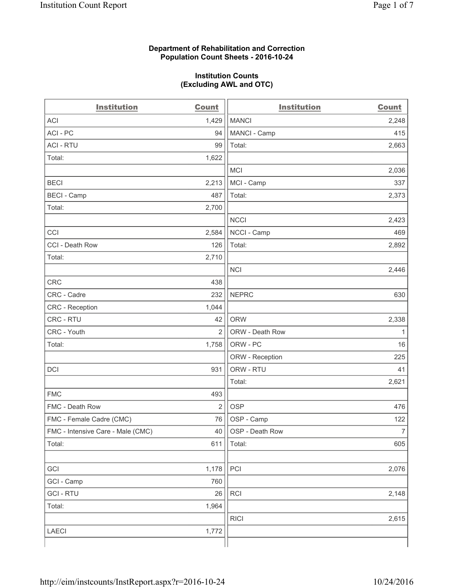#### **Department of Rehabilitation and Correction Population Count Sheets - 2016-10-24**

#### **Institution Counts (Excluding AWL and OTC)**

| <b>Institution</b>                | <b>Count</b>   | <b>Institution</b> | <b>Count</b>   |
|-----------------------------------|----------------|--------------------|----------------|
| <b>ACI</b>                        | 1,429          | <b>MANCI</b>       | 2,248          |
| ACI-PC                            | 94             | MANCI - Camp       | 415            |
| <b>ACI - RTU</b>                  | 99             | Total:             | 2,663          |
| Total:                            | 1,622          |                    |                |
|                                   |                | <b>MCI</b>         | 2,036          |
| <b>BECI</b>                       | 2,213          | MCI - Camp         | 337            |
| <b>BECI</b> - Camp                | 487            | Total:             | 2,373          |
| Total:                            | 2,700          |                    |                |
|                                   |                | <b>NCCI</b>        | 2,423          |
| CCI                               | 2,584          | NCCI - Camp        | 469            |
| CCI - Death Row                   | 126            | Total:             | 2,892          |
| Total:                            | 2,710          |                    |                |
|                                   |                | <b>NCI</b>         | 2,446          |
| <b>CRC</b>                        | 438            |                    |                |
| CRC - Cadre                       | 232            | <b>NEPRC</b>       | 630            |
| CRC - Reception                   | 1,044          |                    |                |
| CRC - RTU                         | 42             | <b>ORW</b>         | 2,338          |
| CRC - Youth                       | $\overline{2}$ | ORW - Death Row    | 1              |
| Total:                            | 1,758          | ORW - PC           | 16             |
|                                   |                | ORW - Reception    | 225            |
| DCI                               | 931            | ORW - RTU          | 41             |
|                                   |                | Total:             | 2,621          |
| <b>FMC</b>                        | 493            |                    |                |
| FMC - Death Row                   | $\overline{2}$ | <b>OSP</b>         | 476            |
| FMC - Female Cadre (CMC)          | 76             | OSP - Camp         | 122            |
| FMC - Intensive Care - Male (CMC) | 40             | OSP - Death Row    | $\overline{7}$ |
| Total:                            | 611            | Total:             | 605            |
|                                   |                |                    |                |
| GCI                               | 1,178          | PCI                | 2,076          |
| GCI - Camp                        | 760            |                    |                |
| <b>GCI-RTU</b>                    | 26             | RCI                | 2,148          |
| Total:                            | 1,964          |                    |                |
|                                   |                | <b>RICI</b>        | 2,615          |
| <b>LAECI</b>                      | 1,772          |                    |                |
|                                   |                |                    |                |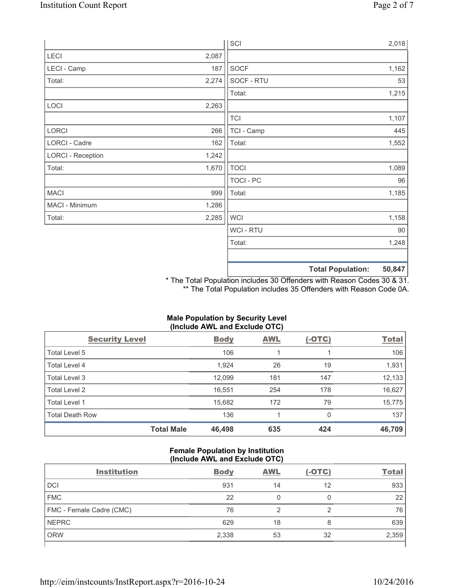|                          |       | SCI              |                          | 2,018  |
|--------------------------|-------|------------------|--------------------------|--------|
| <b>LECI</b>              | 2,087 |                  |                          |        |
| LECI - Camp              | 187   | SOCF             |                          | 1,162  |
| Total:                   | 2,274 | SOCF - RTU       |                          | 53     |
|                          |       | Total:           |                          | 1,215  |
| LOCI                     | 2,263 |                  |                          |        |
|                          |       | <b>TCI</b>       |                          | 1,107  |
| LORCI                    | 266   | TCI - Camp       |                          | 445    |
| LORCI - Cadre            | 162   | Total:           |                          | 1,552  |
| <b>LORCI - Reception</b> | 1,242 |                  |                          |        |
| Total:                   | 1,670 | <b>TOCI</b>      |                          | 1,089  |
|                          |       | <b>TOCI - PC</b> |                          | 96     |
| <b>MACI</b>              | 999   | Total:           |                          | 1,185  |
| MACI - Minimum           | 1,286 |                  |                          |        |
| Total:                   | 2,285 | <b>WCI</b>       |                          | 1,158  |
|                          |       | <b>WCI-RTU</b>   |                          | 90     |
|                          |       | Total:           |                          | 1,248  |
|                          |       |                  |                          |        |
|                          |       |                  | <b>Total Population:</b> | 50,847 |

\* The Total Population includes 30 Offenders with Reason Codes 30 & 31. \*\* The Total Population includes 35 Offenders with Reason Code 0A.

# **Male Population by Security Level (Include AWL and Exclude OTC)**

| <b>Security Level</b>  |                   | <b>Body</b> | <b>AWL</b> | $(-OTC)$ | <b>Total</b> |
|------------------------|-------------------|-------------|------------|----------|--------------|
| Total Level 5          |                   | 106         |            |          | 106          |
| <b>Total Level 4</b>   |                   | 1,924       | 26         | 19       | 1,931        |
| Total Level 3          |                   | 12,099      | 181        | 147      | 12,133       |
| Total Level 2          |                   | 16,551      | 254        | 178      | 16,627       |
| Total Level 1          |                   | 15,682      | 172        | 79       | 15,775       |
| <b>Total Death Row</b> |                   | 136         |            | 0        | 137          |
|                        | <b>Total Male</b> | 46,498      | 635        | 424      | 46,709       |

### **Female Population by Institution (Include AWL and Exclude OTC)**

| <b>Institution</b>       | <b>Body</b> | <b>AWL</b> | $(-OTC)$ | <u>Total</u> |
|--------------------------|-------------|------------|----------|--------------|
| <b>DCI</b>               | 931         | 14         | 12       | 933          |
| <b>FMC</b>               | 22          |            |          | 22           |
| FMC - Female Cadre (CMC) | 76          |            | ◠        | 76           |
| <b>NEPRC</b>             | 629         | 18         | 8        | 639          |
| <b>ORW</b>               | 2,338       | 53         | 32       | 2,359        |
|                          |             |            |          |              |

 $\overline{\phantom{a}}$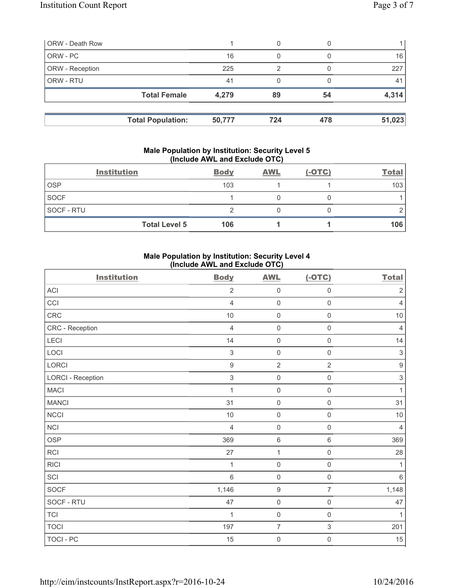| <b>ORW</b> - Death Row |                          |        | 0   |     |        |
|------------------------|--------------------------|--------|-----|-----|--------|
| ORW - PC               |                          | 16     | 0   |     | 16     |
| ORW - Reception        |                          | 225    | 2   |     | 227    |
| ORW - RTU              |                          | 41     |     |     | 41     |
|                        | <b>Total Female</b>      | 4,279  | 89  | 54  | 4,314  |
|                        |                          |        |     |     |        |
|                        | <b>Total Population:</b> | 50,777 | 724 | 478 | 51,023 |

#### **Male Population by Institution: Security Level 5 (Include AWL and Exclude OTC)**

|                   | <b>Institution</b>   | <b>Body</b> | <b>AWL</b> | $(-OTC)$ | <b>Total</b> |
|-------------------|----------------------|-------------|------------|----------|--------------|
| <b>OSP</b>        |                      | 103         |            |          | 103          |
| <b>SOCF</b>       |                      |             |            |          |              |
| <b>SOCF - RTU</b> |                      |             |            |          |              |
|                   | <b>Total Level 5</b> | 106         |            |          | 106          |

# **Male Population by Institution: Security Level 4 (Include AWL and Exclude OTC)**

| <b>Institution</b>       | <b>Body</b>      | <b>AWL</b>          | $(-OTC)$            | <b>Total</b>              |
|--------------------------|------------------|---------------------|---------------------|---------------------------|
| <b>ACI</b>               | $\overline{2}$   | $\mathsf 0$         | $\mathsf{O}\xspace$ | $\sqrt{2}$                |
| CCI                      | $\overline{4}$   | $\mathbf 0$         | $\mathsf 0$         | $\overline{4}$            |
| <b>CRC</b>               | 10               | $\mathsf 0$         | $\mathsf 0$         | $10$                      |
| CRC - Reception          | $\overline{4}$   | $\mathsf{O}\xspace$ | $\mathsf 0$         | $\overline{4}$            |
| LECI                     | 14               | $\mathbf 0$         | $\mathsf 0$         | 14                        |
| LOCI                     | 3                | $\mathsf 0$         | $\mathsf{O}$        | $\ensuremath{\mathsf{3}}$ |
| LORCI                    | $\boldsymbol{9}$ | $\overline{2}$      | $\overline{2}$      | $\boldsymbol{9}$          |
| <b>LORCI - Reception</b> | $\sqrt{3}$       | $\mathbf 0$         | $\mathsf 0$         | $\ensuremath{\mathsf{3}}$ |
| <b>MACI</b>              | 1                | $\mathbf 0$         | $\mathsf{O}\xspace$ | $\mathbf{1}$              |
| <b>MANCI</b>             | 31               | $\mathsf{O}\xspace$ | $\mathsf{O}\xspace$ | 31                        |
| NCCI                     | 10               | $\mathsf{O}\xspace$ | $\mathsf 0$         | $10$                      |
| <b>NCI</b>               | $\overline{4}$   | $\mathbf 0$         | $\mathsf{O}\xspace$ | $\overline{4}$            |
| <b>OSP</b>               | 369              | $\,6\,$             | 6                   | 369                       |
| <b>RCI</b>               | 27               | $\mathbf 1$         | $\mathsf{O}\xspace$ | 28                        |
| <b>RICI</b>              | 1                | $\mathbf 0$         | $\mathsf{O}\xspace$ | $\mathbf{1}$              |
| SCI                      | $6\,$            | $\mathbf 0$         | $\mathsf 0$         | 6                         |
| SOCF                     | 1,146            | $\boldsymbol{9}$    | $\overline{7}$      | 1,148                     |
| SOCF - RTU               | 47               | $\mathsf{O}\xspace$ | $\mathsf{O}\xspace$ | 47                        |
| <b>TCI</b>               | 1                | $\mathbf 0$         | $\mathsf 0$         | $\mathbf{1}$              |
| <b>TOCI</b>              | 197              | $\overline{7}$      | 3                   | 201                       |
| TOCI - PC                | 15               | $\mathbf 0$         | $\mathsf{O}\xspace$ | 15                        |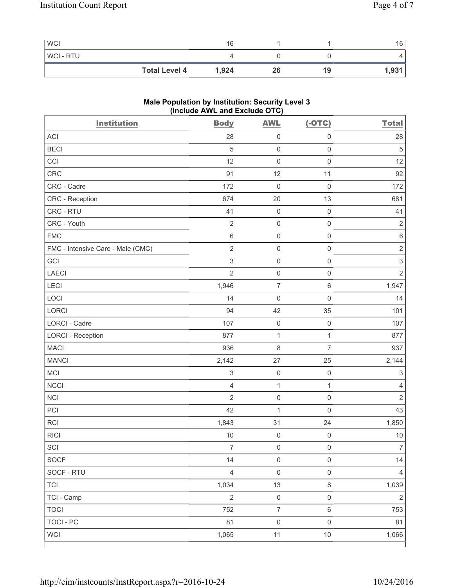| <b>WCI</b>           | 16    |    |    | 16    |
|----------------------|-------|----|----|-------|
| <b>WCI-RTU</b>       |       |    |    |       |
| <b>Total Level 4</b> | 1,924 | 26 | 19 | 1,931 |

# **Male Population by Institution: Security Level 3 (Include AWL and Exclude OTC)**

| <b>Institution</b>                | <b>Body</b>               | <b>AWL</b>          | $(-OTC)$            | <b>Total</b>              |
|-----------------------------------|---------------------------|---------------------|---------------------|---------------------------|
| <b>ACI</b>                        | 28                        | $\mathsf 0$         | $\mathsf 0$         | 28                        |
| <b>BECI</b>                       | 5                         | $\mathsf{O}\xspace$ | $\mathbf 0$         | $\sqrt{5}$                |
| CCI                               | 12                        | $\mathbf 0$         | $\mathbf 0$         | 12                        |
| CRC                               | 91                        | 12                  | 11                  | 92                        |
| CRC - Cadre                       | 172                       | $\mathsf{O}\xspace$ | $\mathsf 0$         | 172                       |
| CRC - Reception                   | 674                       | 20                  | 13                  | 681                       |
| CRC - RTU                         | 41                        | $\mathsf{O}\xspace$ | $\mathsf 0$         | 41                        |
| CRC - Youth                       | $\sqrt{2}$                | $\mathsf{O}\xspace$ | $\mathsf{O}\xspace$ | $\overline{2}$            |
| <b>FMC</b>                        | 6                         | $\mathsf{O}\xspace$ | $\mathsf 0$         | $\,6\,$                   |
| FMC - Intensive Care - Male (CMC) | $\overline{2}$            | $\mathsf{O}\xspace$ | $\mathsf 0$         | $\sqrt{2}$                |
| GCI                               | $\ensuremath{\mathsf{3}}$ | $\mathsf 0$         | $\mathsf 0$         | $\,$ 3 $\,$               |
| <b>LAECI</b>                      | $\overline{2}$            | $\mathsf{O}\xspace$ | $\mathsf 0$         | $\sqrt{2}$                |
| <b>LECI</b>                       | 1,946                     | $\overline{7}$      | $\,6\,$             | 1,947                     |
| LOCI                              | 14                        | $\mathbf 0$         | $\mathbf 0$         | 14                        |
| <b>LORCI</b>                      | 94                        | 42                  | 35                  | 101                       |
| LORCI - Cadre                     | 107                       | $\mathsf{O}\xspace$ | $\mathsf 0$         | 107                       |
| <b>LORCI - Reception</b>          | 877                       | $\mathbf{1}$        | $\mathbf{1}$        | 877                       |
| <b>MACI</b>                       | 936                       | 8                   | $\overline{7}$      | 937                       |
| <b>MANCI</b>                      | 2,142                     | 27                  | 25                  | 2,144                     |
| MCI                               | $\sqrt{3}$                | $\mathsf{O}\xspace$ | $\mathsf 0$         | $\ensuremath{\mathsf{3}}$ |
| <b>NCCI</b>                       | $\overline{4}$            | $\mathbf 1$         | $\mathbf{1}$        | $\overline{4}$            |
| <b>NCI</b>                        | $\overline{2}$            | $\mathsf{O}\xspace$ | $\mathsf 0$         | $\sqrt{2}$                |
| PCI                               | 42                        | $\mathbf 1$         | $\mathbf 0$         | 43                        |
| RCI                               | 1,843                     | 31                  | 24                  | 1,850                     |
| <b>RICI</b>                       | 10                        | $\mathbf 0$         | $\mathsf 0$         | $10$                      |
| $\ensuremath{\mathsf{SCI}}$       | $\overline{7}$            | $\mathbf 0$         | $\mathbf{0}$        | $\overline{7}$            |
| <b>SOCF</b>                       | 14                        | $\mathsf 0$         | $\mathsf{O}\xspace$ | 14                        |
| SOCF - RTU                        | $\overline{4}$            | $\mathsf 0$         | $\mathsf 0$         | $\overline{4}$            |
| <b>TCI</b>                        | 1,034                     | 13                  | $\,8\,$             | 1,039                     |
| TCI - Camp                        | $\overline{2}$            | $\mathsf{O}\xspace$ | $\mathsf 0$         | $\overline{2}$            |
| <b>TOCI</b>                       | 752                       | $\boldsymbol{7}$    | $\,6\,$             | 753                       |
| <b>TOCI - PC</b>                  | 81                        | $\mathsf{O}\xspace$ | $\mathsf 0$         | 81                        |
| <b>WCI</b>                        | 1,065                     | 11                  | 10                  | 1,066                     |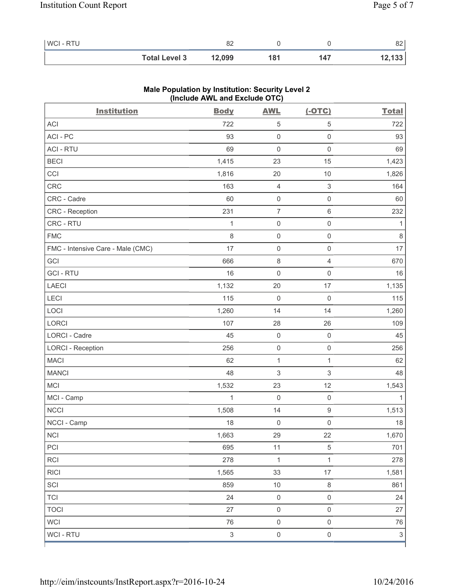| WCI - RTU |                      | oη<br>○∠ |     |     | o o<br>o∠ |
|-----------|----------------------|----------|-----|-----|-----------|
|           | <b>Total Level 3</b> | 12,099   | '81 | 147 | 12,133    |

| <b>Institution</b>                | <b>Body</b>               | <b>AWL</b>          | $(-OTC)$                  | <b>Total</b>              |
|-----------------------------------|---------------------------|---------------------|---------------------------|---------------------------|
| ACI                               | 722                       | 5                   | 5                         | 722                       |
| ACI-PC                            | 93                        | $\mathsf 0$         | $\mathsf 0$               | 93                        |
| <b>ACI - RTU</b>                  | 69                        | $\mathsf{O}\xspace$ | $\mathsf{O}\xspace$       | 69                        |
| <b>BECI</b>                       | 1,415                     | 23                  | 15                        | 1,423                     |
| CCI                               | 1,816                     | 20                  | 10                        | 1,826                     |
| <b>CRC</b>                        | 163                       | $\overline{4}$      | $\ensuremath{\mathsf{3}}$ | 164                       |
| CRC - Cadre                       | 60                        | $\mathsf{O}\xspace$ | $\mathsf 0$               | 60                        |
| CRC - Reception                   | 231                       | $\boldsymbol{7}$    | $\,6$                     | 232                       |
| CRC - RTU                         | 1                         | $\mathsf{O}\xspace$ | $\mathsf 0$               | 1                         |
| <b>FMC</b>                        | $\,8\,$                   | $\mathsf{O}\xspace$ | $\mathsf 0$               | $\,8\,$                   |
| FMC - Intensive Care - Male (CMC) | 17                        | $\mathsf{O}\xspace$ | $\mathsf 0$               | 17                        |
| GCI                               | 666                       | $\,8\,$             | 4                         | 670                       |
| <b>GCI-RTU</b>                    | 16                        | $\mathsf{O}\xspace$ | $\mathsf{O}\xspace$       | 16                        |
| <b>LAECI</b>                      | 1,132                     | 20                  | 17                        | 1,135                     |
| LECI                              | 115                       | $\mathbf 0$         | $\mathsf{O}\xspace$       | 115                       |
| LOCI                              | 1,260                     | 14                  | 14                        | 1,260                     |
| LORCI                             | 107                       | 28                  | 26                        | 109                       |
| LORCI - Cadre                     | 45                        | $\mathsf{O}\xspace$ | $\mathsf 0$               | 45                        |
| <b>LORCI - Reception</b>          | 256                       | $\mathsf{O}\xspace$ | $\mathsf 0$               | 256                       |
| <b>MACI</b>                       | 62                        | $\mathbf{1}$        | 1                         | 62                        |
| <b>MANCI</b>                      | 48                        | $\,$ 3 $\,$         | 3                         | 48                        |
| <b>MCI</b>                        | 1,532                     | 23                  | 12                        | 1,543                     |
| MCI - Camp                        | 1                         | $\mathsf 0$         | $\mathsf 0$               |                           |
| <b>NCCI</b>                       | 1,508                     | 14                  | $\mathsf g$               | 1,513                     |
| NCCI - Camp                       | 18                        | $\mathsf{O}\xspace$ | $\mathsf 0$               | $18$                      |
| <b>NCI</b>                        | 1,663                     | 29                  | 22                        | 1,670                     |
| PCI                               | 695                       | 11                  | 5                         | 701                       |
| <b>RCI</b>                        | 278                       | $\mathbf 1$         | $\mathbf{1}$              | 278                       |
| <b>RICI</b>                       | 1,565                     | 33                  | 17                        | 1,581                     |
| SCI                               | 859                       | $10$                | $\,8\,$                   | 861                       |
| <b>TCI</b>                        | 24                        | $\mathsf{O}\xspace$ | $\mathsf 0$               | 24                        |
| <b>TOCI</b>                       | 27                        | $\mathsf{O}\xspace$ | $\mathsf{O}\xspace$       | 27                        |
| <b>WCI</b>                        | 76                        | $\mathsf{O}\xspace$ | $\mathsf{O}\xspace$       | 76                        |
| WCI - RTU                         | $\ensuremath{\mathsf{3}}$ | $\mathsf{O}\xspace$ | $\mathsf{O}\xspace$       | $\ensuremath{\mathsf{3}}$ |

## **Male Population by Institution: Security Level 2 (Include AWL and Exclude OTC)**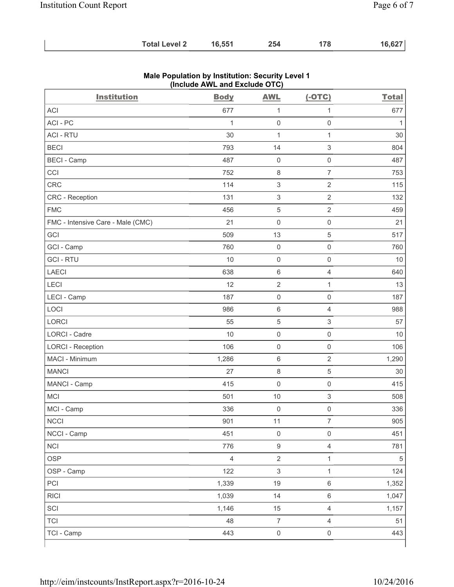| <b>Total Level 2</b> | 16,551 | 254 | 178 | 16,627 |
|----------------------|--------|-----|-----|--------|
|----------------------|--------|-----|-----|--------|

| <b>Institution</b>                | <b>Body</b>    | <b>AWL</b>                | $(-OTC)$            | <b>Total</b> |
|-----------------------------------|----------------|---------------------------|---------------------|--------------|
| <b>ACI</b>                        | 677            | 1                         | 1                   | 677          |
| ACI-PC                            | $\mathbf{1}$   | $\mathsf{O}\xspace$       | $\mathsf 0$         | 1            |
| <b>ACI - RTU</b>                  | 30             | $\mathbf{1}$              | $\mathbf{1}$        | 30           |
| <b>BECI</b>                       | 793            | 14                        | 3                   | 804          |
| <b>BECI - Camp</b>                | 487            | $\mathsf{O}\xspace$       | $\mathsf{O}\xspace$ | 487          |
| CCI                               | 752            | $\,8\,$                   | $\overline{7}$      | 753          |
| CRC                               | 114            | $\ensuremath{\mathsf{3}}$ | $\overline{2}$      | 115          |
| CRC - Reception                   | 131            | $\mathsf 3$               | $\overline{2}$      | 132          |
| <b>FMC</b>                        | 456            | 5                         | $\overline{2}$      | 459          |
| FMC - Intensive Care - Male (CMC) | 21             | $\mathsf{O}\xspace$       | $\mathsf{O}\xspace$ | 21           |
| GCI                               | 509            | 13                        | 5                   | 517          |
| GCI - Camp                        | 760            | $\mathsf{O}\xspace$       | $\mathsf{O}\xspace$ | 760          |
| <b>GCI-RTU</b>                    | 10             | $\mathsf{O}\xspace$       | $\mathsf{O}\xspace$ | 10           |
| <b>LAECI</b>                      | 638            | $\,6\,$                   | 4                   | 640          |
| LECI                              | 12             | $\overline{2}$            | $\mathbf{1}$        | 13           |
| LECI - Camp                       | 187            | $\mathsf{O}\xspace$       | 0                   | 187          |
| LOCI                              | 986            | $\,6\,$                   | 4                   | 988          |
| <b>LORCI</b>                      | 55             | $\sqrt{5}$                | $\,$ 3 $\,$         | 57           |
| <b>LORCI - Cadre</b>              | 10             | $\mathsf{O}\xspace$       | $\mathsf 0$         | 10           |
| <b>LORCI - Reception</b>          | 106            | $\mathsf{O}\xspace$       | $\mathsf 0$         | 106          |
| MACI - Minimum                    | 1,286          | $\,6\,$                   | $\sqrt{2}$          | 1,290        |
| <b>MANCI</b>                      | 27             | $\,8\,$                   | $\,$ 5 $\,$         | 30           |
| MANCI - Camp                      | 415            | $\mathsf{O}\xspace$       | $\mathsf 0$         | 415          |
| MCI                               | 501            | 10                        | 3                   | 508          |
| MCI - Camp                        | 336            | $\mathsf{O}\xspace$       | $\mathsf 0$         | 336          |
| <b>NCCI</b>                       | 901            | 11                        | 7                   | 905          |
| NCCI - Camp                       | 451            | $\mathsf{O}\xspace$       | $\mathsf{O}\xspace$ | 451          |
| <b>NCI</b>                        | 776            | $\boldsymbol{9}$          | $\overline{4}$      | 781          |
| <b>OSP</b>                        | $\overline{4}$ | $\sqrt{2}$                | $\mathbf{1}$        | $\sqrt{5}$   |
| OSP - Camp                        | 122            | $\ensuremath{\mathsf{3}}$ | $\mathbf{1}$        | 124          |
| PCI                               | 1,339          | 19                        | 6                   | 1,352        |
| <b>RICI</b>                       | 1,039          | 14                        | 6                   | 1,047        |
| SCI                               | 1,146          | 15                        | $\overline{4}$      | 1,157        |
| <b>TCI</b>                        | 48             | $\overline{7}$            | $\overline{4}$      | 51           |
| TCI - Camp                        | 443            | $\mathsf{O}\xspace$       | $\mathsf{O}\xspace$ | 443          |

## **Male Population by Institution: Security Level 1 (Include AWL and Exclude OTC)**